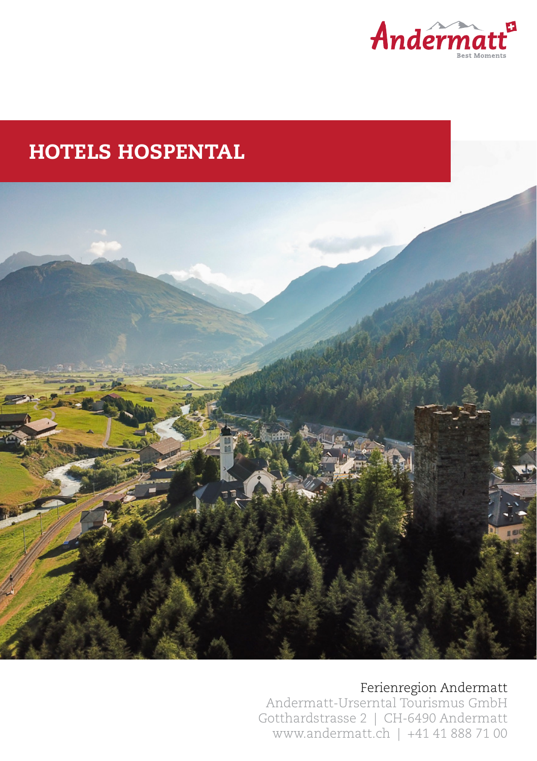

# HOTELS HOSPENTAL



#### Ferienregion Andermatt

Andermatt-Urserntal Tourismus GmbH Gotthardstrasse 2 | CH-6490 Andermatt www.andermatt.ch | +41 41 888 71 00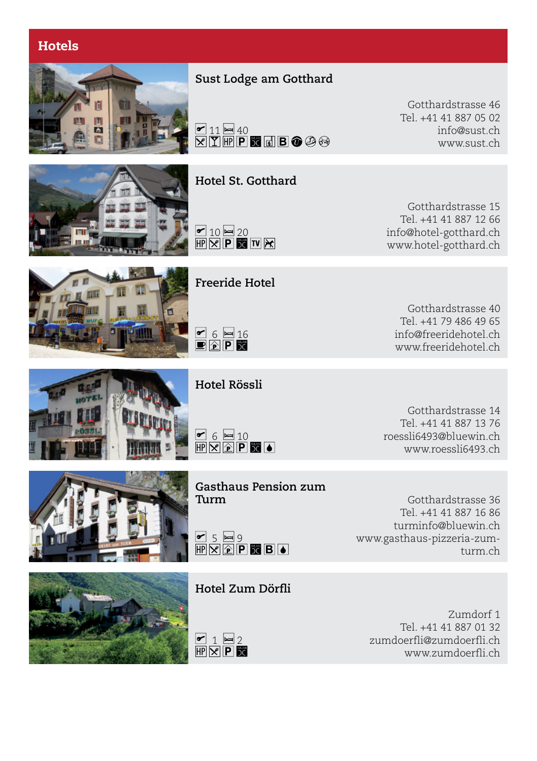## **Hotels**

### **Sust Lodge am Gotthard**

Gotthardstrasse 46 Tel. +41 41 887 05 02 info@sust.ch www.sust.ch

 $\nonumber \begin{array}{l}\n \boxed{\blacksquare} \; 11 \boxminus \textcolor{red}{\blacksquare} \; 40 \\
\boxed{\blacksquare} \; \boxed{\blacksquare} \; \boxed{\blacksquare} \; \boxed{\blacksquare} \; \boxed{\blacksquare} \; \boxed{\blacksquare} \; \textcolor{red}{\blacklozenge} \; \textcolor{blue}{\textcircled{\varnothing}} \; \textcolor{blue}{\textcircled{\varnothing}} \end{array}$ 

**Hotel St. Gotthard**

Gotthardstrasse 15 Tel. +41 41 887 12 66 info@hotel-gotthard.ch www.hotel-gotthard.ch

Gotthardstrasse 40 Tel. +41 79 486 49 65 info@freeridehotel.ch www.freeridehotel.ch

Gotthardstrasse 14 Tel. +41 41 887 13 76 roessli6493@bluewin.ch www.roessli6493.ch

Gotthardstrasse 36 Tel. +41 41 887 16 86 turminfo@bluewin.ch www.gasthaus-pizzeria-zumturm.ch

Zumdorf 1 Tel. +41 41 887 01 32 zumdoerfli@zumdoerfli.ch www.zumdoerfli.ch

**Hotel Rössli**

**Gasthaus Pension zum Turm**

 $\frac{6}{3}$  5  $\frac{6}{3}$  9 6 6 6

**Hotel Zum Dörfli**